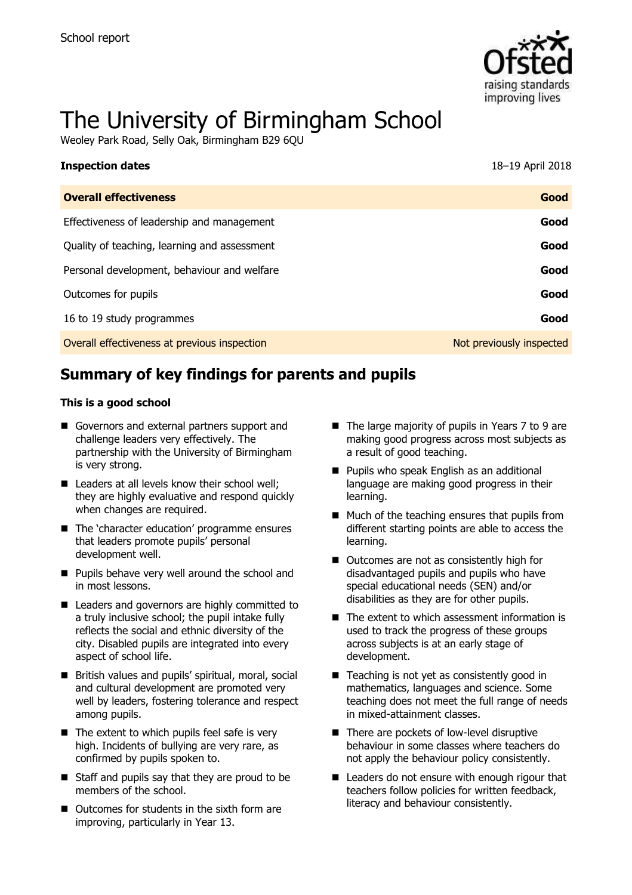

# The University of Birmingham School

Weoley Park Road, Selly Oak, Birmingham B29 6QU

| <b>Inspection dates</b>                      | 18-19 April 2018         |
|----------------------------------------------|--------------------------|
| <b>Overall effectiveness</b>                 | Good                     |
| Effectiveness of leadership and management   | Good                     |
| Quality of teaching, learning and assessment | Good                     |
| Personal development, behaviour and welfare  | Good                     |
| Outcomes for pupils                          | Good                     |
| 16 to 19 study programmes                    | Good                     |
| Overall effectiveness at previous inspection | Not previously inspected |

# **Summary of key findings for parents and pupils**

#### **This is a good school**

- Governors and external partners support and challenge leaders very effectively. The partnership with the University of Birmingham is very strong.
- $\blacksquare$  Leaders at all levels know their school well: they are highly evaluative and respond quickly when changes are required.
- The 'character education' programme ensures that leaders promote pupils' personal development well.
- **Pupils behave very well around the school and** in most lessons.
- Leaders and governors are highly committed to a truly inclusive school; the pupil intake fully reflects the social and ethnic diversity of the city. Disabled pupils are integrated into every aspect of school life.
- British values and pupils' spiritual, moral, social and cultural development are promoted very well by leaders, fostering tolerance and respect among pupils.
- $\blacksquare$  The extent to which pupils feel safe is very high. Incidents of bullying are very rare, as confirmed by pupils spoken to.
- Staff and pupils say that they are proud to be members of the school.
- Outcomes for students in the sixth form are improving, particularly in Year 13.
- The large majority of pupils in Years 7 to 9 are making good progress across most subjects as a result of good teaching.
- **Pupils who speak English as an additional** language are making good progress in their learning.
- $\blacksquare$  Much of the teaching ensures that pupils from different starting points are able to access the learning.
- Outcomes are not as consistently high for disadvantaged pupils and pupils who have special educational needs (SEN) and/or disabilities as they are for other pupils.
- $\blacksquare$  The extent to which assessment information is used to track the progress of these groups across subjects is at an early stage of development.
- $\blacksquare$  Teaching is not yet as consistently good in mathematics, languages and science. Some teaching does not meet the full range of needs in mixed-attainment classes.
- There are pockets of low-level disruptive behaviour in some classes where teachers do not apply the behaviour policy consistently.
- Leaders do not ensure with enough rigour that teachers follow policies for written feedback, literacy and behaviour consistently.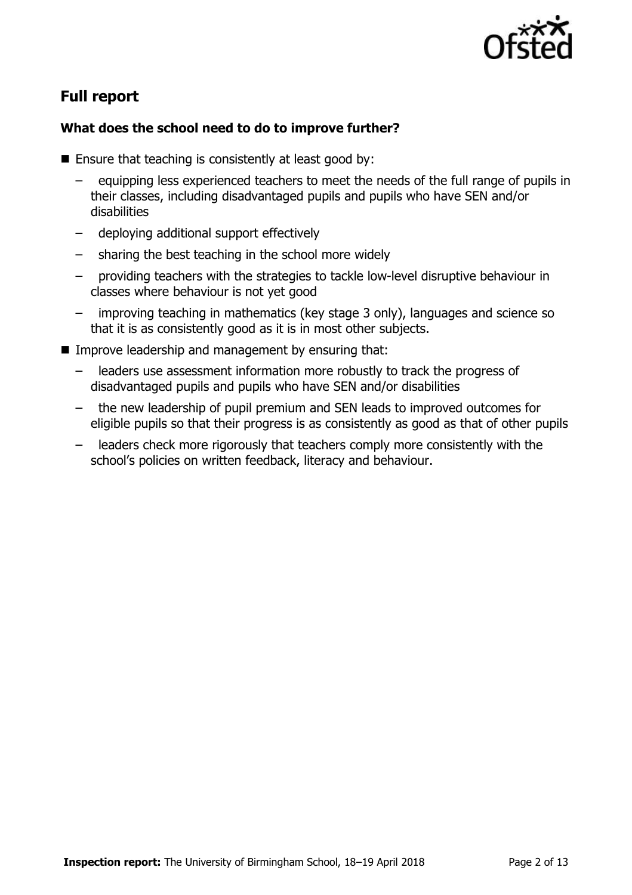

# **Full report**

## **What does the school need to do to improve further?**

- $\blacksquare$  Ensure that teaching is consistently at least good by:
	- equipping less experienced teachers to meet the needs of the full range of pupils in their classes, including disadvantaged pupils and pupils who have SEN and/or disabilities
	- deploying additional support effectively
	- sharing the best teaching in the school more widely
	- providing teachers with the strategies to tackle low-level disruptive behaviour in classes where behaviour is not yet good
	- improving teaching in mathematics (key stage 3 only), languages and science so that it is as consistently good as it is in most other subjects.
- **IMPROVE LEADERSHIP and management by ensuring that:** 
	- leaders use assessment information more robustly to track the progress of disadvantaged pupils and pupils who have SEN and/or disabilities
	- the new leadership of pupil premium and SEN leads to improved outcomes for eligible pupils so that their progress is as consistently as good as that of other pupils
	- leaders check more rigorously that teachers comply more consistently with the school's policies on written feedback, literacy and behaviour.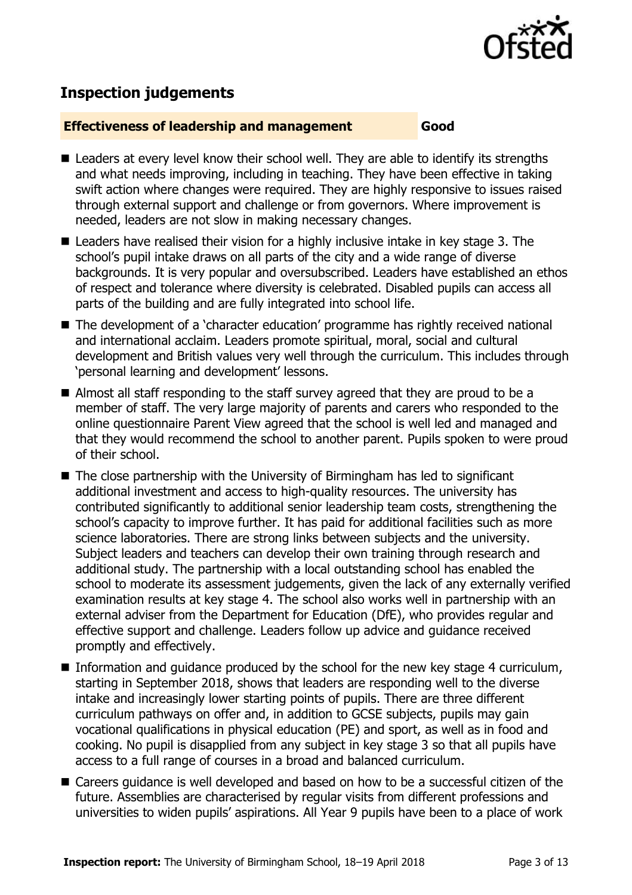

## **Inspection judgements**

#### **Effectiveness of leadership and management Good**

- Leaders at every level know their school well. They are able to identify its strengths and what needs improving, including in teaching. They have been effective in taking swift action where changes were required. They are highly responsive to issues raised through external support and challenge or from governors. Where improvement is needed, leaders are not slow in making necessary changes.
- Leaders have realised their vision for a highly inclusive intake in key stage 3. The school's pupil intake draws on all parts of the city and a wide range of diverse backgrounds. It is very popular and oversubscribed. Leaders have established an ethos of respect and tolerance where diversity is celebrated. Disabled pupils can access all parts of the building and are fully integrated into school life.
- The development of a 'character education' programme has rightly received national and international acclaim. Leaders promote spiritual, moral, social and cultural development and British values very well through the curriculum. This includes through 'personal learning and development' lessons.
- Almost all staff responding to the staff survey agreed that they are proud to be a member of staff. The very large majority of parents and carers who responded to the online questionnaire Parent View agreed that the school is well led and managed and that they would recommend the school to another parent. Pupils spoken to were proud of their school.
- $\blacksquare$  The close partnership with the University of Birmingham has led to significant additional investment and access to high-quality resources. The university has contributed significantly to additional senior leadership team costs, strengthening the school's capacity to improve further. It has paid for additional facilities such as more science laboratories. There are strong links between subjects and the university. Subject leaders and teachers can develop their own training through research and additional study. The partnership with a local outstanding school has enabled the school to moderate its assessment judgements, given the lack of any externally verified examination results at key stage 4. The school also works well in partnership with an external adviser from the Department for Education (DfE), who provides regular and effective support and challenge. Leaders follow up advice and guidance received promptly and effectively.
- Information and guidance produced by the school for the new key stage 4 curriculum, starting in September 2018, shows that leaders are responding well to the diverse intake and increasingly lower starting points of pupils. There are three different curriculum pathways on offer and, in addition to GCSE subjects, pupils may gain vocational qualifications in physical education (PE) and sport, as well as in food and cooking. No pupil is disapplied from any subject in key stage 3 so that all pupils have access to a full range of courses in a broad and balanced curriculum.
- Careers guidance is well developed and based on how to be a successful citizen of the future. Assemblies are characterised by regular visits from different professions and universities to widen pupils' aspirations. All Year 9 pupils have been to a place of work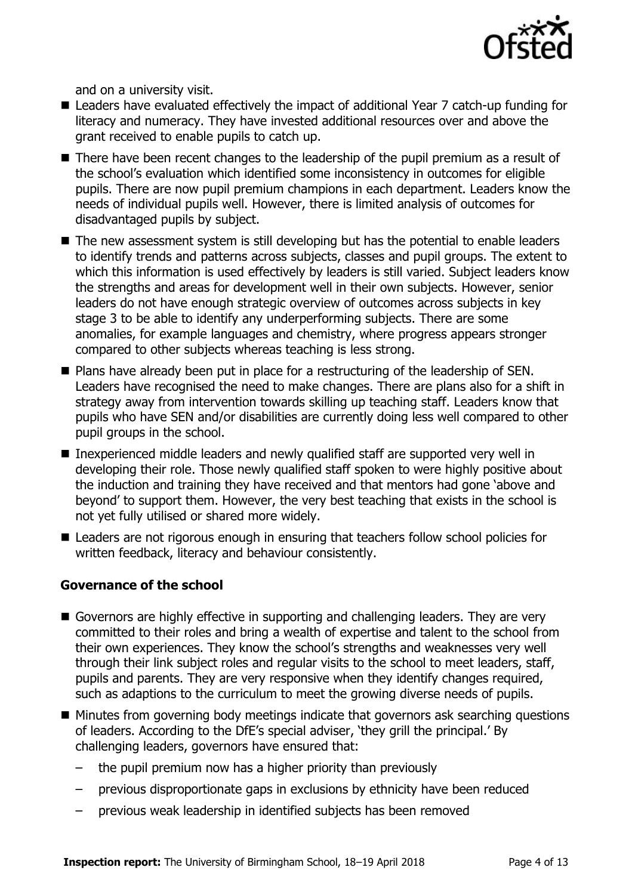

and on a university visit.

- Leaders have evaluated effectively the impact of additional Year 7 catch-up funding for literacy and numeracy. They have invested additional resources over and above the grant received to enable pupils to catch up.
- There have been recent changes to the leadership of the pupil premium as a result of the school's evaluation which identified some inconsistency in outcomes for eligible pupils. There are now pupil premium champions in each department. Leaders know the needs of individual pupils well. However, there is limited analysis of outcomes for disadvantaged pupils by subject.
- The new assessment system is still developing but has the potential to enable leaders to identify trends and patterns across subjects, classes and pupil groups. The extent to which this information is used effectively by leaders is still varied. Subject leaders know the strengths and areas for development well in their own subjects. However, senior leaders do not have enough strategic overview of outcomes across subjects in key stage 3 to be able to identify any underperforming subjects. There are some anomalies, for example languages and chemistry, where progress appears stronger compared to other subjects whereas teaching is less strong.
- **Plans have already been put in place for a restructuring of the leadership of SEN.** Leaders have recognised the need to make changes. There are plans also for a shift in strategy away from intervention towards skilling up teaching staff. Leaders know that pupils who have SEN and/or disabilities are currently doing less well compared to other pupil groups in the school.
- Inexperienced middle leaders and newly qualified staff are supported very well in developing their role. Those newly qualified staff spoken to were highly positive about the induction and training they have received and that mentors had gone 'above and beyond' to support them. However, the very best teaching that exists in the school is not yet fully utilised or shared more widely.
- Leaders are not rigorous enough in ensuring that teachers follow school policies for written feedback, literacy and behaviour consistently.

## **Governance of the school**

- Governors are highly effective in supporting and challenging leaders. They are very committed to their roles and bring a wealth of expertise and talent to the school from their own experiences. They know the school's strengths and weaknesses very well through their link subject roles and regular visits to the school to meet leaders, staff, pupils and parents. They are very responsive when they identify changes required, such as adaptions to the curriculum to meet the growing diverse needs of pupils.
- Minutes from governing body meetings indicate that governors ask searching questions of leaders. According to the DfE's special adviser, 'they grill the principal.' By challenging leaders, governors have ensured that:
	- the pupil premium now has a higher priority than previously
	- previous disproportionate gaps in exclusions by ethnicity have been reduced
	- previous weak leadership in identified subjects has been removed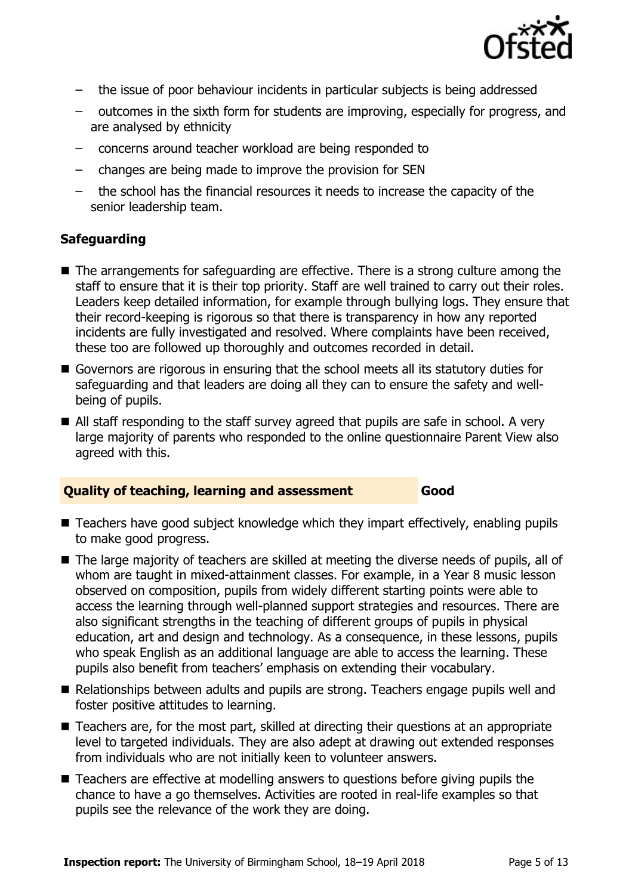

- the issue of poor behaviour incidents in particular subjects is being addressed
- outcomes in the sixth form for students are improving, especially for progress, and are analysed by ethnicity
- concerns around teacher workload are being responded to
- changes are being made to improve the provision for SEN
- the school has the financial resources it needs to increase the capacity of the senior leadership team.

## **Safeguarding**

- The arrangements for safeguarding are effective. There is a strong culture among the staff to ensure that it is their top priority. Staff are well trained to carry out their roles. Leaders keep detailed information, for example through bullying logs. They ensure that their record-keeping is rigorous so that there is transparency in how any reported incidents are fully investigated and resolved. Where complaints have been received, these too are followed up thoroughly and outcomes recorded in detail.
- Governors are rigorous in ensuring that the school meets all its statutory duties for safeguarding and that leaders are doing all they can to ensure the safety and wellbeing of pupils.
- All staff responding to the staff survey agreed that pupils are safe in school. A very large majority of parents who responded to the online questionnaire Parent View also agreed with this.

## **Quality of teaching, learning and assessment Good**

- Teachers have good subject knowledge which they impart effectively, enabling pupils to make good progress.
- The large majority of teachers are skilled at meeting the diverse needs of pupils, all of whom are taught in mixed-attainment classes. For example, in a Year 8 music lesson observed on composition, pupils from widely different starting points were able to access the learning through well-planned support strategies and resources. There are also significant strengths in the teaching of different groups of pupils in physical education, art and design and technology. As a consequence, in these lessons, pupils who speak English as an additional language are able to access the learning. These pupils also benefit from teachers' emphasis on extending their vocabulary.
- Relationships between adults and pupils are strong. Teachers engage pupils well and foster positive attitudes to learning.
- Teachers are, for the most part, skilled at directing their questions at an appropriate level to targeted individuals. They are also adept at drawing out extended responses from individuals who are not initially keen to volunteer answers.
- Teachers are effective at modelling answers to questions before giving pupils the chance to have a go themselves. Activities are rooted in real-life examples so that pupils see the relevance of the work they are doing.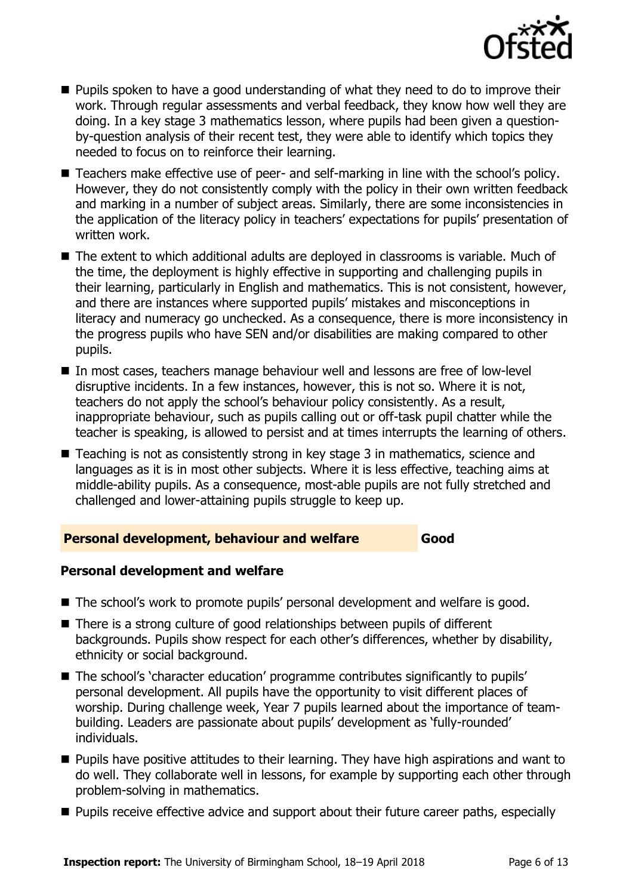

- **Pupils spoken to have a good understanding of what they need to do to improve their** work. Through regular assessments and verbal feedback, they know how well they are doing. In a key stage 3 mathematics lesson, where pupils had been given a questionby-question analysis of their recent test, they were able to identify which topics they needed to focus on to reinforce their learning.
- Teachers make effective use of peer- and self-marking in line with the school's policy. However, they do not consistently comply with the policy in their own written feedback and marking in a number of subject areas. Similarly, there are some inconsistencies in the application of the literacy policy in teachers' expectations for pupils' presentation of written work.
- The extent to which additional adults are deployed in classrooms is variable. Much of the time, the deployment is highly effective in supporting and challenging pupils in their learning, particularly in English and mathematics. This is not consistent, however, and there are instances where supported pupils' mistakes and misconceptions in literacy and numeracy go unchecked. As a consequence, there is more inconsistency in the progress pupils who have SEN and/or disabilities are making compared to other pupils.
- In most cases, teachers manage behaviour well and lessons are free of low-level disruptive incidents. In a few instances, however, this is not so. Where it is not, teachers do not apply the school's behaviour policy consistently. As a result, inappropriate behaviour, such as pupils calling out or off-task pupil chatter while the teacher is speaking, is allowed to persist and at times interrupts the learning of others.
- Teaching is not as consistently strong in key stage 3 in mathematics, science and languages as it is in most other subjects. Where it is less effective, teaching aims at middle-ability pupils. As a consequence, most-able pupils are not fully stretched and challenged and lower-attaining pupils struggle to keep up.

#### **Personal development, behaviour and welfare Good**

#### **Personal development and welfare**

- The school's work to promote pupils' personal development and welfare is good.
- There is a strong culture of good relationships between pupils of different backgrounds. Pupils show respect for each other's differences, whether by disability, ethnicity or social background.
- The school's 'character education' programme contributes significantly to pupils' personal development. All pupils have the opportunity to visit different places of worship. During challenge week, Year 7 pupils learned about the importance of teambuilding. Leaders are passionate about pupils' development as 'fully-rounded' individuals.
- **Pupils have positive attitudes to their learning. They have high aspirations and want to** do well. They collaborate well in lessons, for example by supporting each other through problem-solving in mathematics.
- **Pupils receive effective advice and support about their future career paths, especially**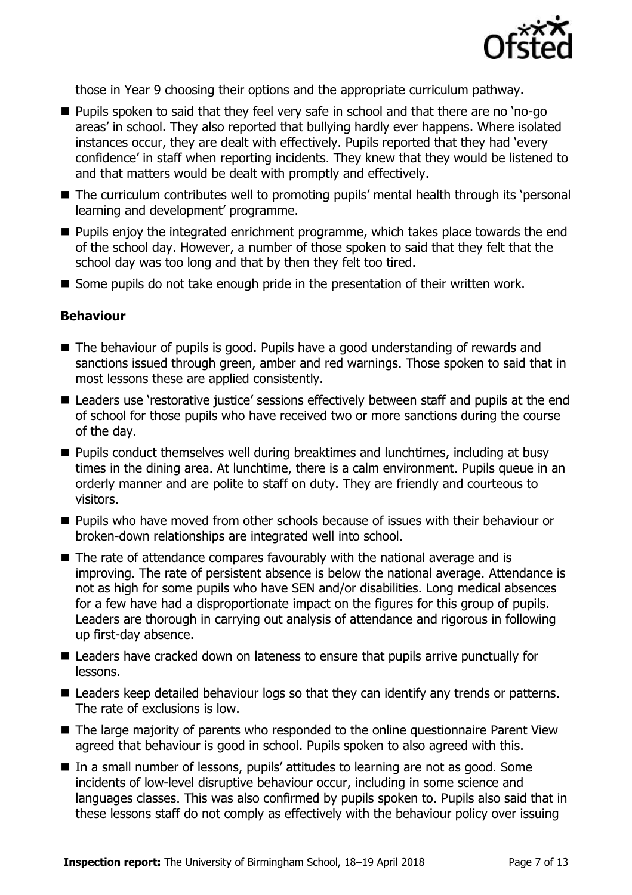

those in Year 9 choosing their options and the appropriate curriculum pathway.

- **Pupils spoken to said that they feel very safe in school and that there are no 'no-go'** areas' in school. They also reported that bullying hardly ever happens. Where isolated instances occur, they are dealt with effectively. Pupils reported that they had 'every confidence' in staff when reporting incidents. They knew that they would be listened to and that matters would be dealt with promptly and effectively.
- The curriculum contributes well to promoting pupils' mental health through its 'personal learning and development' programme.
- **Pupils enjoy the integrated enrichment programme, which takes place towards the end** of the school day. However, a number of those spoken to said that they felt that the school day was too long and that by then they felt too tired.
- Some pupils do not take enough pride in the presentation of their written work.

#### **Behaviour**

- The behaviour of pupils is good. Pupils have a good understanding of rewards and sanctions issued through green, amber and red warnings. Those spoken to said that in most lessons these are applied consistently.
- Leaders use 'restorative justice' sessions effectively between staff and pupils at the end of school for those pupils who have received two or more sanctions during the course of the day.
- **Pupils conduct themselves well during breaktimes and lunchtimes, including at busy** times in the dining area. At lunchtime, there is a calm environment. Pupils queue in an orderly manner and are polite to staff on duty. They are friendly and courteous to visitors.
- **Pupils who have moved from other schools because of issues with their behaviour or** broken-down relationships are integrated well into school.
- The rate of attendance compares favourably with the national average and is improving. The rate of persistent absence is below the national average. Attendance is not as high for some pupils who have SEN and/or disabilities. Long medical absences for a few have had a disproportionate impact on the figures for this group of pupils. Leaders are thorough in carrying out analysis of attendance and rigorous in following up first-day absence.
- Leaders have cracked down on lateness to ensure that pupils arrive punctually for lessons.
- Leaders keep detailed behaviour logs so that they can identify any trends or patterns. The rate of exclusions is low.
- The large majority of parents who responded to the online questionnaire Parent View agreed that behaviour is good in school. Pupils spoken to also agreed with this.
- In a small number of lessons, pupils' attitudes to learning are not as good. Some incidents of low-level disruptive behaviour occur, including in some science and languages classes. This was also confirmed by pupils spoken to. Pupils also said that in these lessons staff do not comply as effectively with the behaviour policy over issuing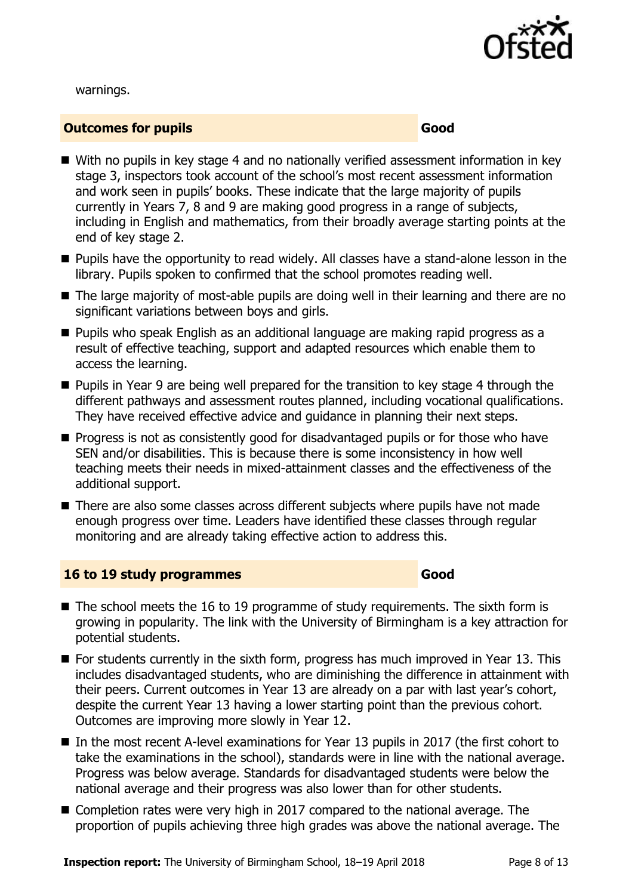

warnings.

#### **Outcomes for pupils Good Good**

- With no pupils in key stage 4 and no nationally verified assessment information in key stage 3, inspectors took account of the school's most recent assessment information and work seen in pupils' books. These indicate that the large majority of pupils currently in Years 7, 8 and 9 are making good progress in a range of subjects, including in English and mathematics, from their broadly average starting points at the end of key stage 2.
- **Pupils have the opportunity to read widely. All classes have a stand-alone lesson in the** library. Pupils spoken to confirmed that the school promotes reading well.
- The large majority of most-able pupils are doing well in their learning and there are no significant variations between boys and girls.
- **Pupils who speak English as an additional language are making rapid progress as a** result of effective teaching, support and adapted resources which enable them to access the learning.
- **Pupils in Year 9 are being well prepared for the transition to key stage 4 through the** different pathways and assessment routes planned, including vocational qualifications. They have received effective advice and guidance in planning their next steps.
- **Progress is not as consistently good for disadvantaged pupils or for those who have** SEN and/or disabilities. This is because there is some inconsistency in how well teaching meets their needs in mixed-attainment classes and the effectiveness of the additional support.
- There are also some classes across different subjects where pupils have not made enough progress over time. Leaders have identified these classes through regular monitoring and are already taking effective action to address this.

#### **16 to 19 study programmes Good**

- $\blacksquare$  The school meets the 16 to 19 programme of study requirements. The sixth form is growing in popularity. The link with the University of Birmingham is a key attraction for potential students.
- $\blacksquare$  For students currently in the sixth form, progress has much improved in Year 13. This includes disadvantaged students, who are diminishing the difference in attainment with their peers. Current outcomes in Year 13 are already on a par with last year's cohort, despite the current Year 13 having a lower starting point than the previous cohort. Outcomes are improving more slowly in Year 12.
- In the most recent A-level examinations for Year 13 pupils in 2017 (the first cohort to take the examinations in the school), standards were in line with the national average. Progress was below average. Standards for disadvantaged students were below the national average and their progress was also lower than for other students.
- Completion rates were very high in 2017 compared to the national average. The proportion of pupils achieving three high grades was above the national average. The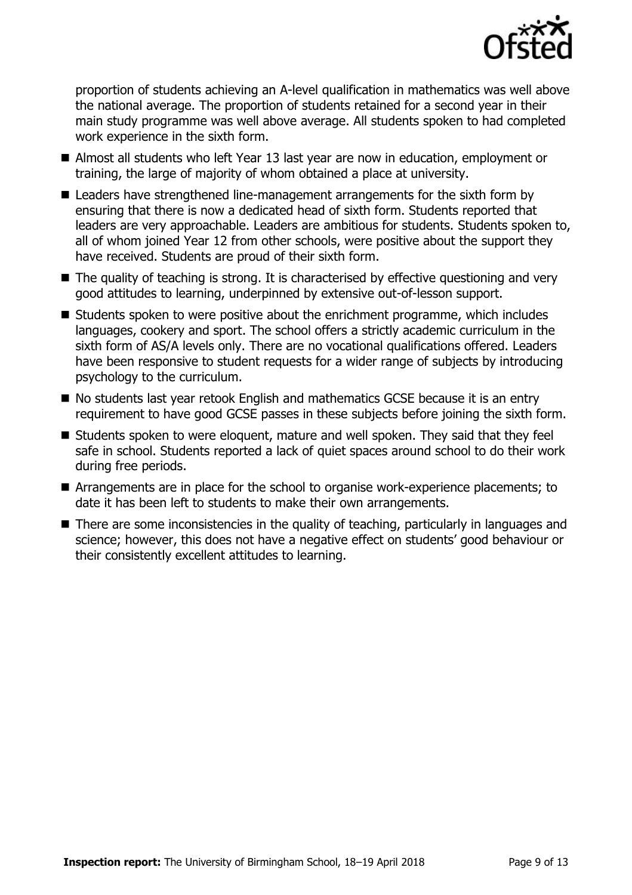

proportion of students achieving an A-level qualification in mathematics was well above the national average. The proportion of students retained for a second year in their main study programme was well above average. All students spoken to had completed work experience in the sixth form.

- Almost all students who left Year 13 last year are now in education, employment or training, the large of majority of whom obtained a place at university.
- Leaders have strengthened line-management arrangements for the sixth form by ensuring that there is now a dedicated head of sixth form. Students reported that leaders are very approachable. Leaders are ambitious for students. Students spoken to, all of whom joined Year 12 from other schools, were positive about the support they have received. Students are proud of their sixth form.
- The quality of teaching is strong. It is characterised by effective questioning and very good attitudes to learning, underpinned by extensive out-of-lesson support.
- Students spoken to were positive about the enrichment programme, which includes languages, cookery and sport. The school offers a strictly academic curriculum in the sixth form of AS/A levels only. There are no vocational qualifications offered. Leaders have been responsive to student requests for a wider range of subjects by introducing psychology to the curriculum.
- No students last year retook English and mathematics GCSE because it is an entry requirement to have good GCSE passes in these subjects before joining the sixth form.
- Students spoken to were eloquent, mature and well spoken. They said that they feel safe in school. Students reported a lack of quiet spaces around school to do their work during free periods.
- Arrangements are in place for the school to organise work-experience placements; to date it has been left to students to make their own arrangements.
- There are some inconsistencies in the quality of teaching, particularly in languages and science; however, this does not have a negative effect on students' good behaviour or their consistently excellent attitudes to learning.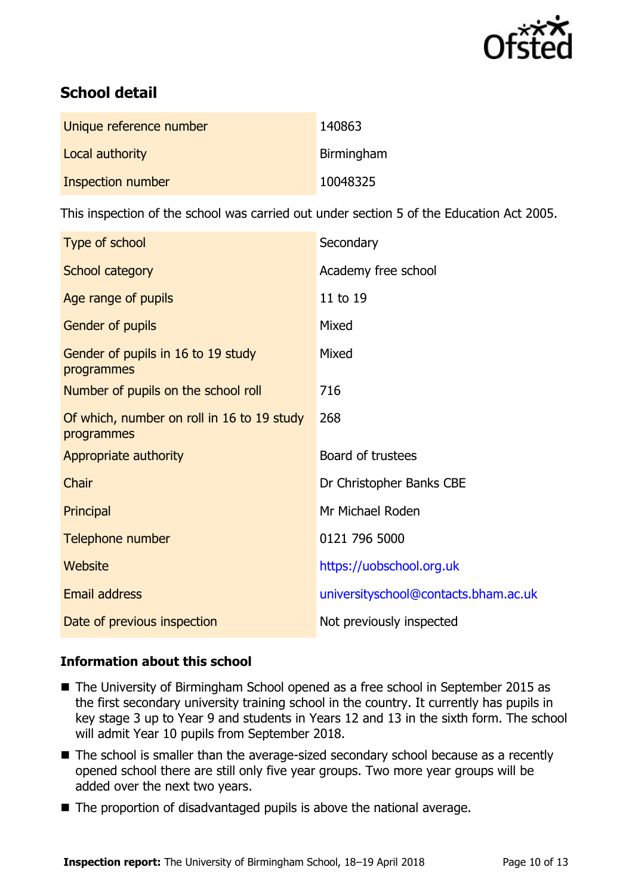

# **School detail**

| Unique reference number | 140863     |
|-------------------------|------------|
| Local authority         | Birmingham |
| Inspection number       | 10048325   |

This inspection of the school was carried out under section 5 of the Education Act 2005.

| Type of school                                           | Secondary                            |
|----------------------------------------------------------|--------------------------------------|
| School category                                          | Academy free school                  |
| Age range of pupils                                      | 11 to 19                             |
| Gender of pupils                                         | Mixed                                |
| Gender of pupils in 16 to 19 study<br>programmes         | Mixed                                |
| Number of pupils on the school roll                      | 716                                  |
| Of which, number on roll in 16 to 19 study<br>programmes | 268                                  |
| Appropriate authority                                    | Board of trustees                    |
| Chair                                                    | Dr Christopher Banks CBE             |
| Principal                                                | Mr Michael Roden                     |
| Telephone number                                         | 0121 796 5000                        |
| <b>Website</b>                                           | https://uobschool.org.uk             |
| <b>Email address</b>                                     | universityschool@contacts.bham.ac.uk |
| Date of previous inspection                              | Not previously inspected             |

## **Information about this school**

- The University of Birmingham School opened as a free school in September 2015 as the first secondary university training school in the country. It currently has pupils in key stage 3 up to Year 9 and students in Years 12 and 13 in the sixth form. The school will admit Year 10 pupils from September 2018.
- The school is smaller than the average-sized secondary school because as a recently opened school there are still only five year groups. Two more year groups will be added over the next two years.
- The proportion of disadvantaged pupils is above the national average.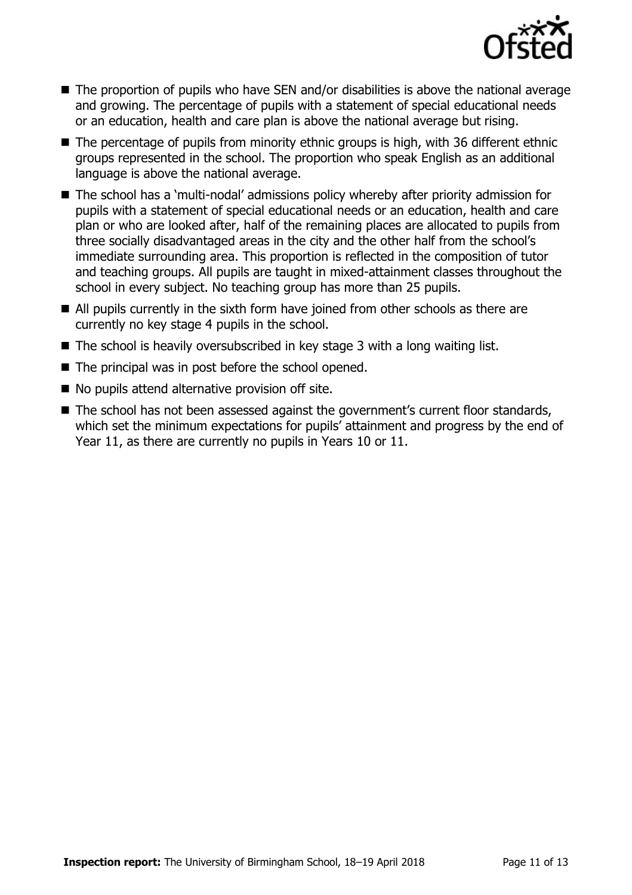

- The proportion of pupils who have SEN and/or disabilities is above the national average and growing. The percentage of pupils with a statement of special educational needs or an education, health and care plan is above the national average but rising.
- The percentage of pupils from minority ethnic groups is high, with 36 different ethnic groups represented in the school. The proportion who speak English as an additional language is above the national average.
- The school has a 'multi-nodal' admissions policy whereby after priority admission for pupils with a statement of special educational needs or an education, health and care plan or who are looked after, half of the remaining places are allocated to pupils from three socially disadvantaged areas in the city and the other half from the school's immediate surrounding area. This proportion is reflected in the composition of tutor and teaching groups. All pupils are taught in mixed-attainment classes throughout the school in every subject. No teaching group has more than 25 pupils.
- All pupils currently in the sixth form have joined from other schools as there are currently no key stage 4 pupils in the school.
- $\blacksquare$  The school is heavily oversubscribed in key stage 3 with a long waiting list.
- $\blacksquare$  The principal was in post before the school opened.
- $\blacksquare$  No pupils attend alternative provision off site.
- The school has not been assessed against the government's current floor standards, which set the minimum expectations for pupils' attainment and progress by the end of Year 11, as there are currently no pupils in Years 10 or 11.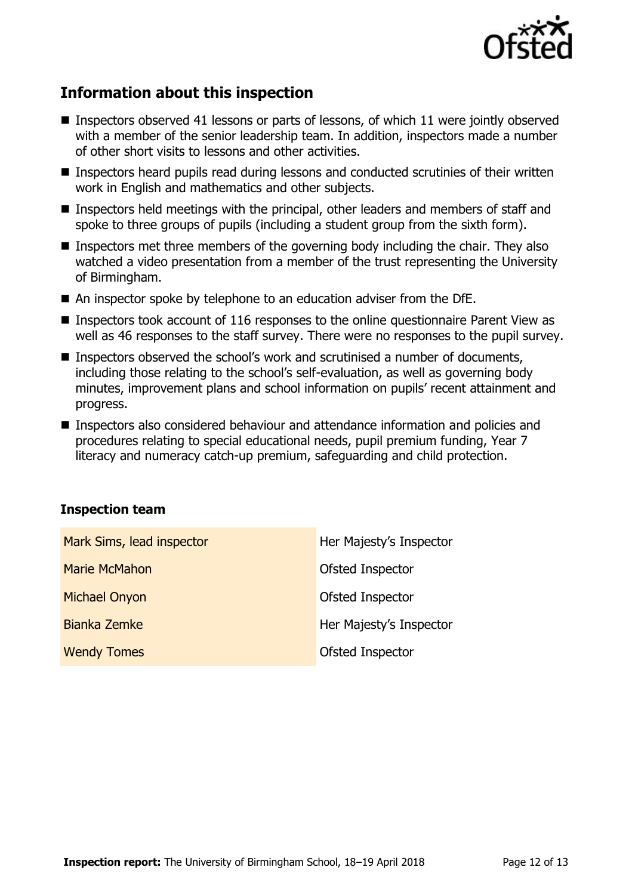

# **Information about this inspection**

- **Inspectors observed 41 lessons or parts of lessons, of which 11 were jointly observed** with a member of the senior leadership team. In addition, inspectors made a number of other short visits to lessons and other activities.
- Inspectors heard pupils read during lessons and conducted scrutinies of their written work in English and mathematics and other subjects.
- Inspectors held meetings with the principal, other leaders and members of staff and spoke to three groups of pupils (including a student group from the sixth form).
- Inspectors met three members of the governing body including the chair. They also watched a video presentation from a member of the trust representing the University of Birmingham.
- An inspector spoke by telephone to an education adviser from the DfE.
- Inspectors took account of 116 responses to the online questionnaire Parent View as well as 46 responses to the staff survey. There were no responses to the pupil survey.
- **Inspectors observed the school's work and scrutinised a number of documents,** including those relating to the school's self-evaluation, as well as governing body minutes, improvement plans and school information on pupils' recent attainment and progress.
- Inspectors also considered behaviour and attendance information and policies and procedures relating to special educational needs, pupil premium funding, Year 7 literacy and numeracy catch-up premium, safeguarding and child protection.

#### **Inspection team**

| Mark Sims, lead inspector | Her Majesty's Inspector |
|---------------------------|-------------------------|
| Marie McMahon             | Ofsted Inspector        |
| <b>Michael Onyon</b>      | Ofsted Inspector        |
| Bianka Zemke              | Her Majesty's Inspector |
| <b>Wendy Tomes</b>        | Ofsted Inspector        |